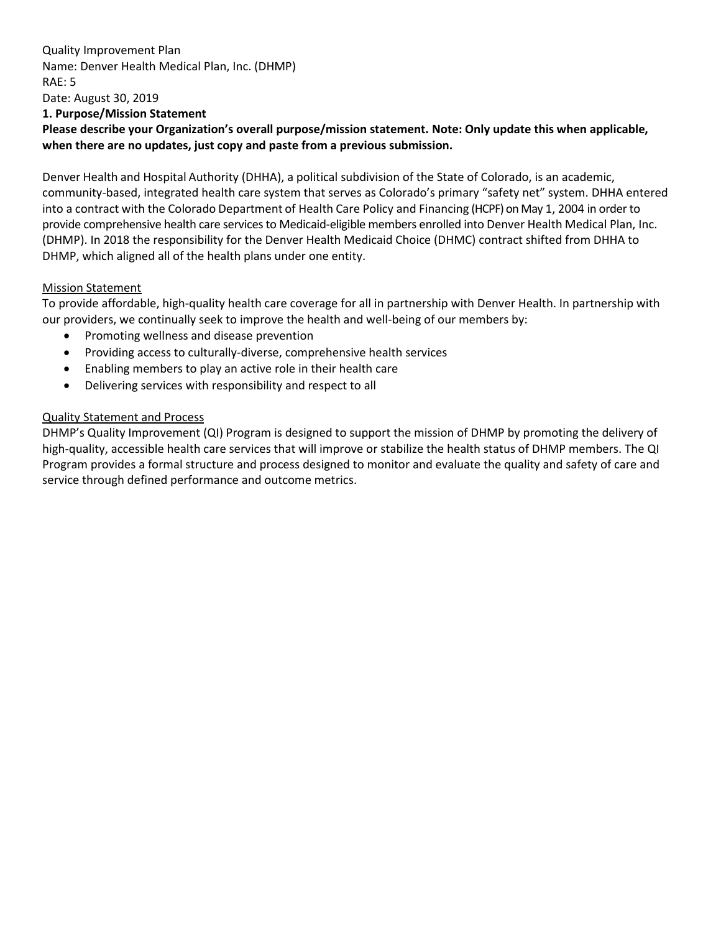Quality Improvement Plan Name: Denver Health Medical Plan, Inc. (DHMP) RAE: 5 Date: August 30, 2019 **1. Purpose/Mission Statement**

**Please describe your Organization's overall purpose/mission statement. Note: Only update this when applicable, when there are no updates, just copy and paste from a previous submission.**

Denver Health and Hospital Authority (DHHA), a political subdivision of the State of Colorado, is an academic, community-based, integrated health care system that serves as Colorado's primary "safety net" system. DHHA entered into a contract with the Colorado Department of Health Care Policy and Financing (HCPF) on May 1, 2004 in order to provide comprehensive health care services to Medicaid-eligible members enrolled into Denver Health Medical Plan, Inc. (DHMP). In 2018 the responsibility for the Denver Health Medicaid Choice (DHMC) contract shifted from DHHA to DHMP, which aligned all of the health plans under one entity.

### Mission Statement

To provide affordable, high-quality health care coverage for all in partnership with Denver Health. In partnership with our providers, we continually seek to improve the health and well-being of our members by:

- Promoting wellness and disease prevention
- Providing access to culturally-diverse, comprehensive health services
- Enabling members to play an active role in their health care
- Delivering services with responsibility and respect to all

### Quality Statement and Process

DHMP's Quality Improvement (QI) Program is designed to support the mission of DHMP by promoting the delivery of high-quality, accessible health care services that will improve or stabilize the health status of DHMP members. The QI Program provides a formal structure and process designed to monitor and evaluate the quality and safety of care and service through defined performance and outcome metrics.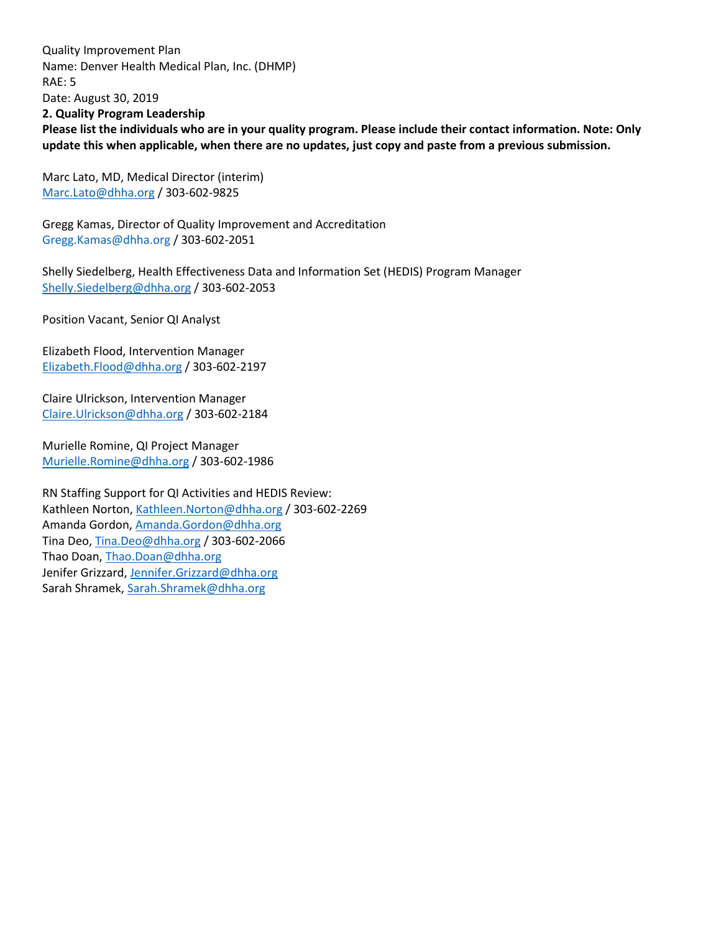Quality Improvement Plan Name: Denver Health Medical Plan, Inc. (DHMP) RAE: 5 Date: August 30, 2019 **2. Quality Program Leadership Please list the individuals who are in your quality program. Please include their contact information. Note: Only update this when applicable, when there are no updates, just copy and paste from a previous submission.**

Marc Lato, MD, Medical Director (interim) Marc.Lato@dhha.org / 303-602-9825

Gregg Kamas, Director of Quality Improvement and Accreditation Gregg.Kamas@dhha.org / 303-602-2051

Shelly Siedelberg, Health Effectiveness Data and Information Set (HEDIS) Program Manager Shelly.Siedelberg@dhha.org / 303-602-2053

Position Vacant, Senior QI Analyst

Elizabeth Flood, Intervention Manager Elizabeth.Flood@dhha.org / 303-602-2197

Claire Ulrickson, Intervention Manager Claire.Ulrickson@dhha.org / 303-602-2184

Murielle Romine, QI Project Manager Murielle.Romine@dhha.org / 303-602-1986

RN Staffing Support for QI Activities and HEDIS Review: Kathleen Norton, Kathleen.Norton@dhha.org / 303-602-2269 Amanda Gordon, Amanda.Gordon@dhha.org Tina Deo, Tina.Deo@dhha.org / 303-602-2066 Thao Doan, Thao.Doan@dhha.org Jenifer Grizzard, Jennifer.Grizzard@dhha.org Sarah Shramek, Sarah.Shramek@dhha.org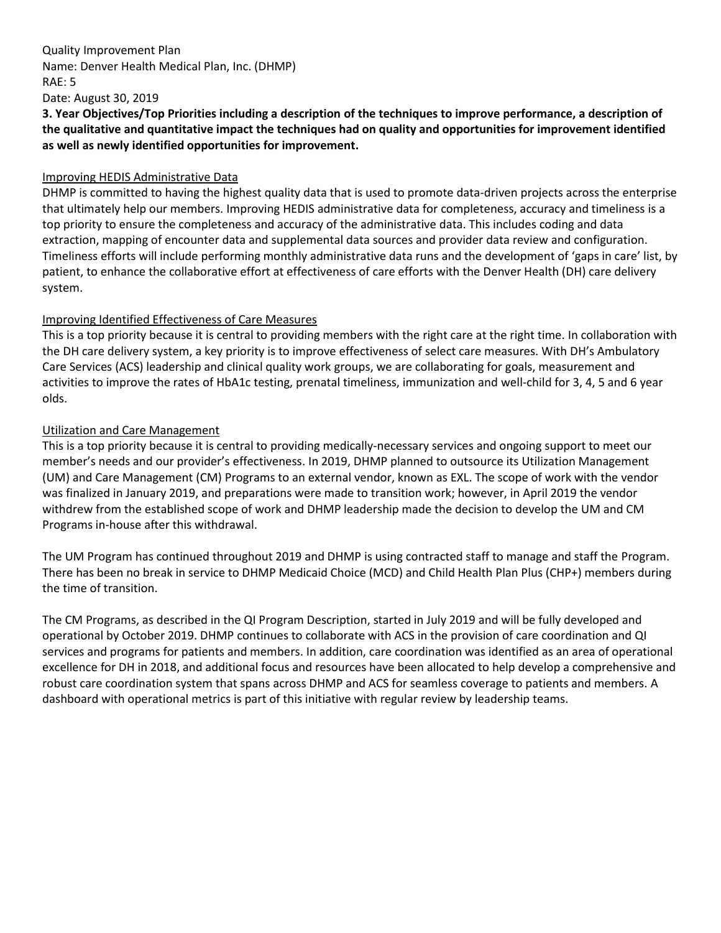### Quality Improvement Plan Name: Denver Health Medical Plan, Inc. (DHMP) RAE: 5 Date: August 30, 2019

**3. Year Objectives/Top Priorities including a description of the techniques to improve performance, a description of the qualitative and quantitative impact the techniques had on quality and opportunities for improvement identified as well as newly identified opportunities for improvement.**

### Improving HEDIS Administrative Data

DHMP is committed to having the highest quality data that is used to promote data-driven projects across the enterprise that ultimately help our members. Improving HEDIS administrative data for completeness, accuracy and timeliness is a top priority to ensure the completeness and accuracy of the administrative data. This includes coding and data extraction, mapping of encounter data and supplemental data sources and provider data review and configuration. Timeliness efforts will include performing monthly administrative data runs and the development of 'gaps in care' list, by patient, to enhance the collaborative effort at effectiveness of care efforts with the Denver Health (DH) care delivery system.

### Improving Identified Effectiveness of Care Measures

This is a top priority because it is central to providing members with the right care at the right time. In collaboration with the DH care delivery system, a key priority is to improve effectiveness of select care measures. With DH's Ambulatory Care Services (ACS) leadership and clinical quality work groups, we are collaborating for goals, measurement and activities to improve the rates of HbA1c testing, prenatal timeliness, immunization and well-child for 3, 4, 5 and 6 year olds.

### Utilization and Care Management

This is a top priority because it is central to providing medically-necessary services and ongoing support to meet our member's needs and our provider's effectiveness. In 2019, DHMP planned to outsource its Utilization Management (UM) and Care Management (CM) Programs to an external vendor, known as EXL. The scope of work with the vendor was finalized in January 2019, and preparations were made to transition work; however, in April 2019 the vendor withdrew from the established scope of work and DHMP leadership made the decision to develop the UM and CM Programs in-house after this withdrawal.

The UM Program has continued throughout 2019 and DHMP is using contracted staff to manage and staff the Program. There has been no break in service to DHMP Medicaid Choice (MCD) and Child Health Plan Plus (CHP+) members during the time of transition.

The CM Programs, as described in the QI Program Description, started in July 2019 and will be fully developed and operational by October 2019. DHMP continues to collaborate with ACS in the provision of care coordination and QI services and programs for patients and members. In addition, care coordination was identified as an area of operational excellence for DH in 2018, and additional focus and resources have been allocated to help develop a comprehensive and robust care coordination system that spans across DHMP and ACS for seamless coverage to patients and members. A dashboard with operational metrics is part of this initiative with regular review by leadership teams.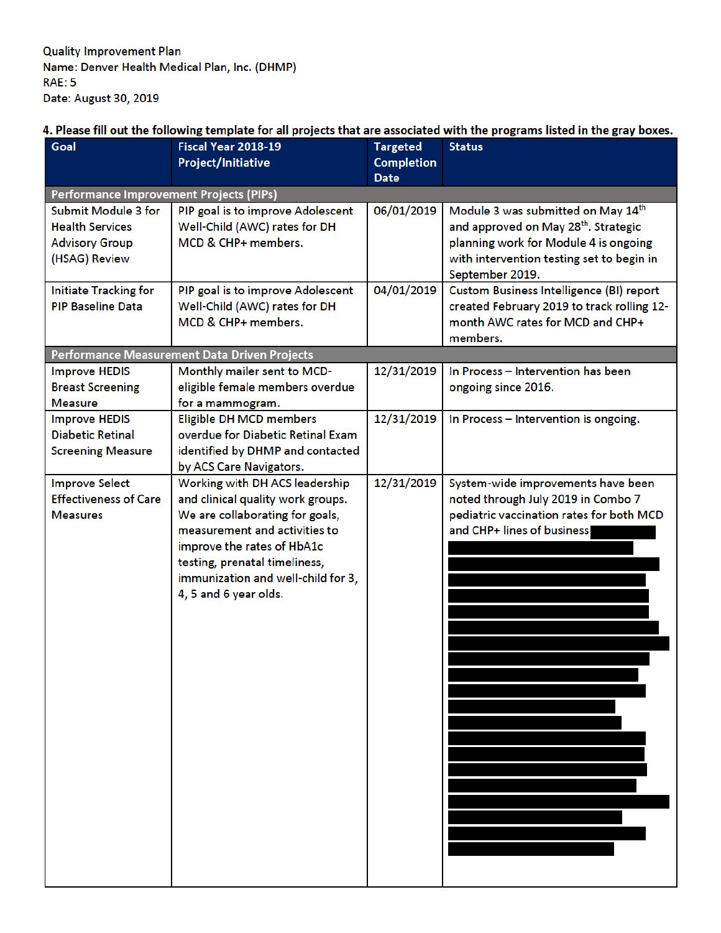### 4. Please fill out the following template for all projects that are associated with the programs listed in the gray boxes.

| Goal                                    | Fiscal Year 2018-19                          | <b>Targeted</b>   | <b>Status</b>                                    |
|-----------------------------------------|----------------------------------------------|-------------------|--------------------------------------------------|
|                                         | Project/Initiative                           | <b>Completion</b> |                                                  |
|                                         |                                              | <b>Date</b>       |                                                  |
| Performance Improvement Projects (PIPs) |                                              |                   |                                                  |
| <b>Submit Module 3 for</b>              | PIP goal is to improve Adolescent            | 06/01/2019        | Module 3 was submitted on May 14th               |
| <b>Health Services</b>                  | Well-Child (AWC) rates for DH                |                   | and approved on May 28 <sup>th</sup> . Strategic |
| <b>Advisory Group</b>                   | MCD & CHP+ members.                          |                   | planning work for Module 4 is ongoing            |
| (HSAG) Review                           |                                              |                   | with intervention testing set to begin in        |
|                                         |                                              |                   | September 2019.                                  |
| <b>Initiate Tracking for</b>            | PIP goal is to improve Adolescent            | 04/01/2019        | <b>Custom Business Intelligence (BI) report</b>  |
| <b>PIP Baseline Data</b>                | Well-Child (AWC) rates for DH                |                   | created February 2019 to track rolling 12-       |
|                                         | MCD & CHP+ members.                          |                   | month AWC rates for MCD and CHP+                 |
|                                         |                                              |                   | members.                                         |
|                                         | Performance Measurement Data Driven Projects |                   |                                                  |
| <b>Improve HEDIS</b>                    | Monthly mailer sent to MCD-                  | 12/31/2019        | In Process - Intervention has been               |
| <b>Breast Screening</b>                 | eligible female members overdue              |                   | ongoing since 2016.                              |
| <b>Measure</b>                          | for a mammogram.                             |                   |                                                  |
| <b>Improve HEDIS</b>                    | <b>Eligible DH MCD members</b>               | 12/31/2019        | In Process - Intervention is ongoing.            |
| <b>Diabetic Retinal</b>                 | overdue for Diabetic Retinal Exam            |                   |                                                  |
| <b>Screening Measure</b>                | identified by DHMP and contacted             |                   |                                                  |
|                                         | by ACS Care Navigators.                      |                   |                                                  |
| <b>Improve Select</b>                   | Working with DH ACS leadership               | 12/31/2019        | System-wide improvements have been               |
| <b>Effectiveness of Care</b>            | and clinical quality work groups.            |                   | noted through July 2019 in Combo 7               |
| <b>Measures</b>                         | We are collaborating for goals,              |                   | pediatric vaccination rates for both MCD         |
|                                         | measurement and activities to                |                   | and CHP+ lines of business                       |
|                                         | improve the rates of HbA1c                   |                   |                                                  |
|                                         | testing, prenatal timeliness,                |                   |                                                  |
|                                         | immunization and well-child for 3,           |                   |                                                  |
|                                         | 4, 5 and 6 year olds.                        |                   |                                                  |
|                                         |                                              |                   |                                                  |
|                                         |                                              |                   |                                                  |
|                                         |                                              |                   |                                                  |
|                                         |                                              |                   |                                                  |
|                                         |                                              |                   |                                                  |
|                                         |                                              |                   |                                                  |
|                                         |                                              |                   |                                                  |
|                                         |                                              |                   |                                                  |
|                                         |                                              |                   |                                                  |
|                                         |                                              |                   |                                                  |
|                                         |                                              |                   |                                                  |
|                                         |                                              |                   |                                                  |
|                                         |                                              |                   |                                                  |
|                                         |                                              |                   |                                                  |
|                                         |                                              |                   |                                                  |
|                                         |                                              |                   |                                                  |
|                                         |                                              |                   |                                                  |
|                                         |                                              |                   |                                                  |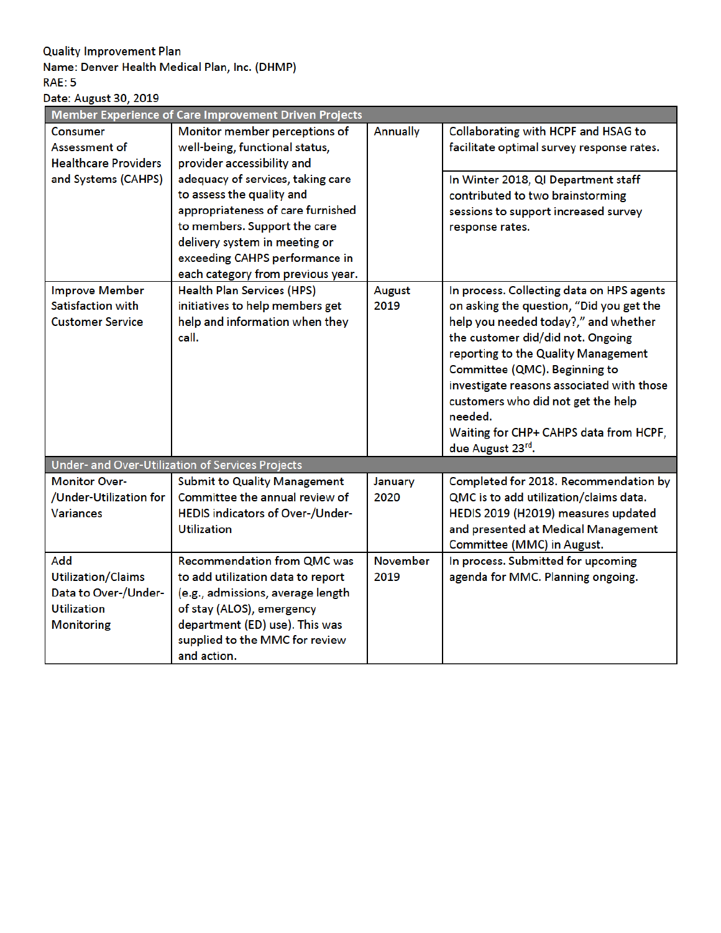### **Quality Improvement Plan**

### Name: Denver Health Medical Plan, Inc. (DHMP) **RAE: 5**

# Date: August 30, 2019

| Member Experience of Care Improvement Driven Projects |                                                  |                 |                                           |  |  |
|-------------------------------------------------------|--------------------------------------------------|-----------------|-------------------------------------------|--|--|
| <b>Consumer</b>                                       | Monitor member perceptions of                    | Annually        | Collaborating with HCPF and HSAG to       |  |  |
| Assessment of                                         | well-being, functional status,                   |                 | facilitate optimal survey response rates. |  |  |
| <b>Healthcare Providers</b>                           | provider accessibility and                       |                 |                                           |  |  |
| and Systems (CAHPS)                                   | adequacy of services, taking care                |                 | In Winter 2018, QI Department staff       |  |  |
|                                                       | to assess the quality and                        |                 | contributed to two brainstorming          |  |  |
|                                                       | appropriateness of care furnished                |                 | sessions to support increased survey      |  |  |
|                                                       | to members. Support the care                     |                 | response rates.                           |  |  |
|                                                       | delivery system in meeting or                    |                 |                                           |  |  |
|                                                       | exceeding CAHPS performance in                   |                 |                                           |  |  |
|                                                       | each category from previous year.                |                 |                                           |  |  |
| <b>Improve Member</b>                                 | <b>Health Plan Services (HPS)</b>                | August          | In process. Collecting data on HPS agents |  |  |
| Satisfaction with                                     | initiatives to help members get                  | 2019            | on asking the question, "Did you get the  |  |  |
| <b>Customer Service</b>                               | help and information when they                   |                 | help you needed today?," and whether      |  |  |
|                                                       | call.                                            |                 | the customer did/did not. Ongoing         |  |  |
|                                                       |                                                  |                 | reporting to the Quality Management       |  |  |
|                                                       |                                                  |                 | Committee (QMC). Beginning to             |  |  |
|                                                       |                                                  |                 | investigate reasons associated with those |  |  |
|                                                       |                                                  |                 | customers who did not get the help        |  |  |
|                                                       |                                                  |                 | needed.                                   |  |  |
|                                                       |                                                  |                 | Waiting for CHP+ CAHPS data from HCPF,    |  |  |
|                                                       |                                                  |                 | due August 23rd.                          |  |  |
|                                                       | Under- and Over-Utilization of Services Projects |                 |                                           |  |  |
| <b>Monitor Over-</b>                                  | <b>Submit to Quality Management</b>              | January         | Completed for 2018. Recommendation by     |  |  |
| /Under-Utilization for                                | Committee the annual review of                   | 2020            | QMC is to add utilization/claims data.    |  |  |
| <b>Variances</b>                                      | HEDIS indicators of Over-/Under-                 |                 | HEDIS 2019 (H2019) measures updated       |  |  |
|                                                       | <b>Utilization</b>                               |                 | and presented at Medical Management       |  |  |
|                                                       |                                                  |                 | Committee (MMC) in August.                |  |  |
| Add                                                   | <b>Recommendation from QMC was</b>               | <b>November</b> | In process. Submitted for upcoming        |  |  |
| <b>Utilization/Claims</b>                             | to add utilization data to report                | 2019            | agenda for MMC. Planning ongoing.         |  |  |
| Data to Over-/Under-                                  | (e.g., admissions, average length                |                 |                                           |  |  |
| <b>Utilization</b>                                    | of stay (ALOS), emergency                        |                 |                                           |  |  |
| <b>Monitoring</b>                                     | department (ED) use). This was                   |                 |                                           |  |  |
|                                                       | supplied to the MMC for review                   |                 |                                           |  |  |
|                                                       | and action.                                      |                 |                                           |  |  |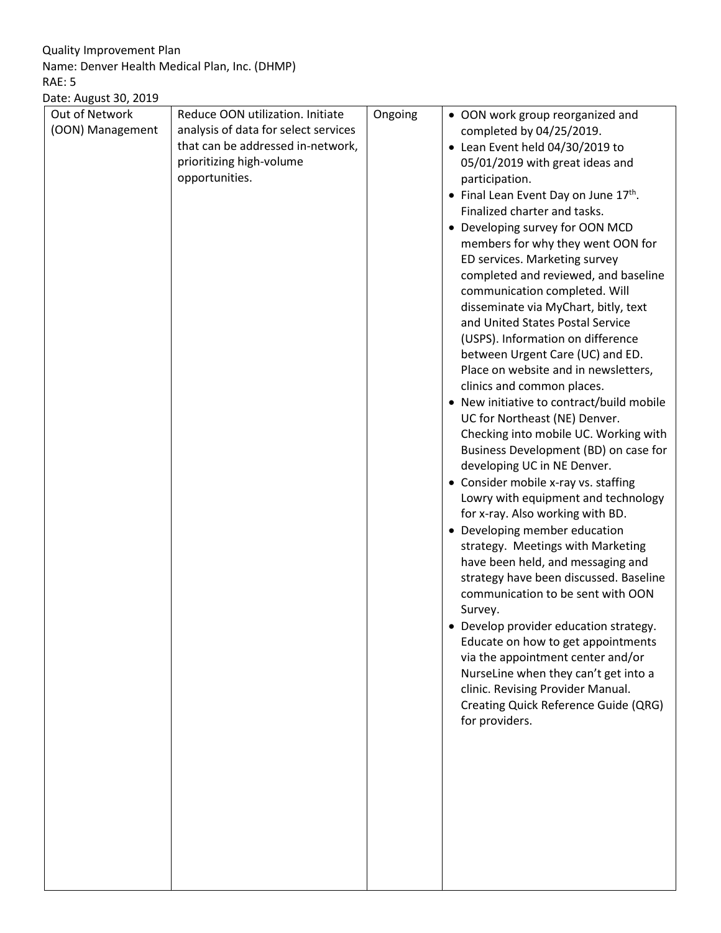Quality Improvement Plan Name: Denver Health Medical Plan, Inc. (DHMP) RAE: 5

### Date: August 30, 2019

| Date: August 30, 2019              |                                                                                                                                                             |         |                                                                                                                                                                                                                                                                                                                                                                                                                                                                                                                                                                                                                                                                                                                                                                                                                                                                                                                                                                                                                                                                                                                                                                                                                                                                                                                                                                                                                                       |
|------------------------------------|-------------------------------------------------------------------------------------------------------------------------------------------------------------|---------|---------------------------------------------------------------------------------------------------------------------------------------------------------------------------------------------------------------------------------------------------------------------------------------------------------------------------------------------------------------------------------------------------------------------------------------------------------------------------------------------------------------------------------------------------------------------------------------------------------------------------------------------------------------------------------------------------------------------------------------------------------------------------------------------------------------------------------------------------------------------------------------------------------------------------------------------------------------------------------------------------------------------------------------------------------------------------------------------------------------------------------------------------------------------------------------------------------------------------------------------------------------------------------------------------------------------------------------------------------------------------------------------------------------------------------------|
| Out of Network<br>(OON) Management | Reduce OON utilization. Initiate<br>analysis of data for select services<br>that can be addressed in-network,<br>prioritizing high-volume<br>opportunities. | Ongoing | • OON work group reorganized and<br>completed by 04/25/2019.<br>• Lean Event held 04/30/2019 to<br>05/01/2019 with great ideas and<br>participation.<br>• Final Lean Event Day on June 17th.<br>Finalized charter and tasks.<br>• Developing survey for OON MCD<br>members for why they went OON for<br>ED services. Marketing survey<br>completed and reviewed, and baseline<br>communication completed. Will<br>disseminate via MyChart, bitly, text<br>and United States Postal Service<br>(USPS). Information on difference<br>between Urgent Care (UC) and ED.<br>Place on website and in newsletters,<br>clinics and common places.<br>• New initiative to contract/build mobile<br>UC for Northeast (NE) Denver.<br>Checking into mobile UC. Working with<br>Business Development (BD) on case for<br>developing UC in NE Denver.<br>• Consider mobile x-ray vs. staffing<br>Lowry with equipment and technology<br>for x-ray. Also working with BD.<br>Developing member education<br>$\bullet$<br>strategy. Meetings with Marketing<br>have been held, and messaging and<br>strategy have been discussed. Baseline<br>communication to be sent with OON<br>Survey.<br>Develop provider education strategy.<br>Educate on how to get appointments<br>via the appointment center and/or<br>NurseLine when they can't get into a<br>clinic. Revising Provider Manual.<br>Creating Quick Reference Guide (QRG)<br>for providers. |